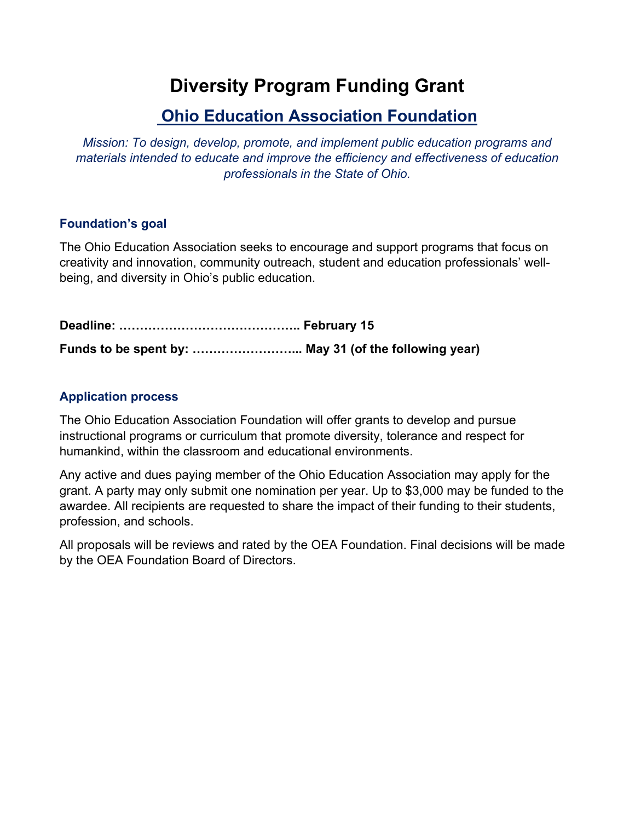# **Diversity Program Funding Grant**

### **Ohio Education Association Foundation**

*Mission: To design, develop, promote, and implement public education programs and materials intended to educate and improve the efficiency and effectiveness of education professionals in the State of Ohio.* 

#### **Foundation's goal**

The Ohio Education Association seeks to encourage and support programs that focus on creativity and innovation, community outreach, student and education professionals' wellbeing, and diversity in Ohio's public education.

**Deadline: …………………………………….. February 15 Funds to be spent by: ……………………... May 31 (of the following year)**

#### **Application process**

The Ohio Education Association Foundation will offer grants to develop and pursue instructional programs or curriculum that promote diversity, tolerance and respect for humankind, within the classroom and educational environments.

Any active and dues paying member of the Ohio Education Association may apply for the grant. A party may only submit one nomination per year. Up to \$3,000 may be funded to the awardee. All recipients are requested to share the impact of their funding to their students, profession, and schools.

All proposals will be reviews and rated by the OEA Foundation. Final decisions will be made by the OEA Foundation Board of Directors.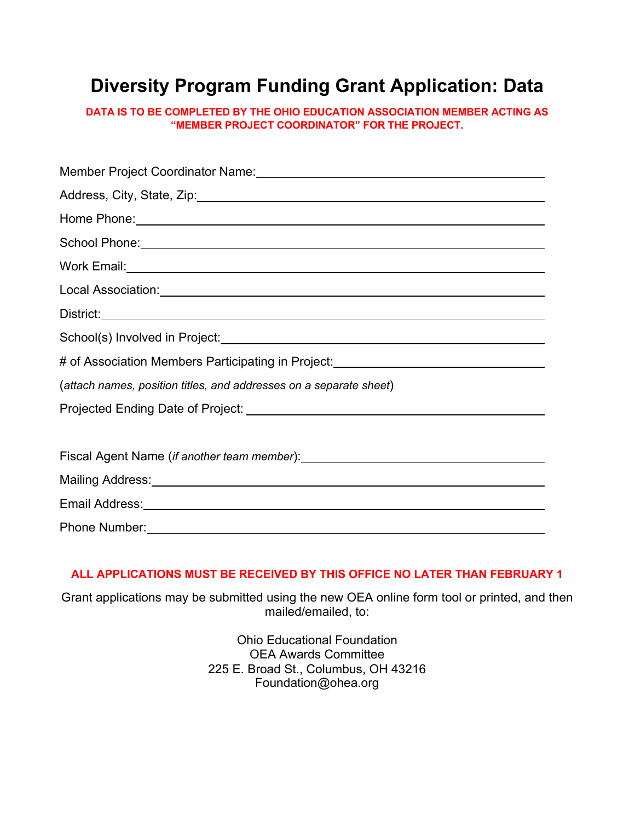# **Diversity Program Funding Grant Application: Data**

**DATA IS TO BE COMPLETED BY THE OHIO EDUCATION ASSOCIATION MEMBER ACTING AS "MEMBER PROJECT COORDINATOR" FOR THE PROJECT.**

| Member Project Coordinator Name: Mame: Manual Annual Account of Project Coordinator Name: Manual Account of Account Account of Manual Account Account Account Account Account Account Account Account Account Account Account  |
|--------------------------------------------------------------------------------------------------------------------------------------------------------------------------------------------------------------------------------|
| Address, City, State, Zip: 2008. Address, City, State, 2009.                                                                                                                                                                   |
| Home Phone: 1999 - 1999 - 1999 - 1999 - 1999 - 1999 - 1999 - 1999 - 1999 - 1999 - 1999 - 1999 - 1999 - 1999 - 1                                                                                                                |
| School Phone: 2000 Changes and 2000 Changes and 2000 Changes and 2000 Changes and 2000 Changes and 2000 Changes and 2000 Changes and 2000 Changes and 2000 Changes and 2000 Changes and 2000 Changes and 2000 Changes and 2000 |
|                                                                                                                                                                                                                                |
|                                                                                                                                                                                                                                |
| District:<br><u>District:</u>                                                                                                                                                                                                  |
|                                                                                                                                                                                                                                |
| # of Association Members Participating in Project:______________________________                                                                                                                                               |
| (attach names, position titles, and addresses on a separate sheet)                                                                                                                                                             |
|                                                                                                                                                                                                                                |
|                                                                                                                                                                                                                                |
|                                                                                                                                                                                                                                |
|                                                                                                                                                                                                                                |
| Email Address: Note of the Contract of the Contract of the Contract of the Contract of the Contract of the Contract of the Contract of the Contract of the Contract of the Contract of the Contract of the Contract of the Con |
| Phone Number: 2008 Phone Number: 2008 Phone Number: 2008 Phone Number: 2008 Phone Number: 2008 Phone Number: 2008 Phone Number: 2008 Phone Number: 2008 Phone Number: 2008 Phone Number: 2008 Phone Number: 2008 Phone Number: |

#### **ALL APPLICATIONS MUST BE RECEIVED BY THIS OFFICE NO LATER THAN FEBRUARY 1**

Grant applications may be submitted using the new OEA online form tool or printed, and then mailed/emailed, to:

> Ohio Educational Foundation OEA Awards Committee 225 E. Broad St., Columbus, OH 43216 Foundation@ohea.org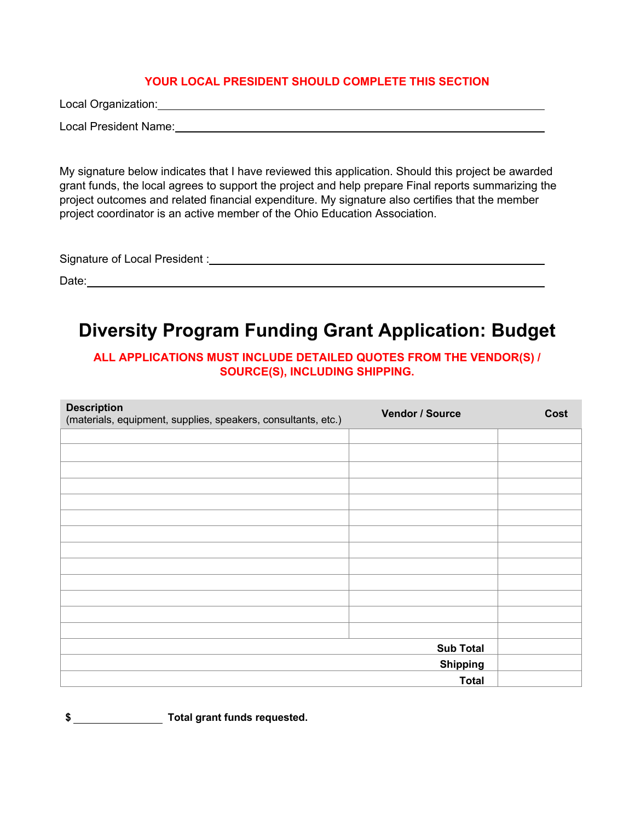#### **YOUR LOCAL PRESIDENT SHOULD COMPLETE THIS SECTION**

Local Organization:

Local President Name:

My signature below indicates that I have reviewed this application. Should this project be awarded grant funds, the local agrees to support the project and help prepare Final reports summarizing the project outcomes and related financial expenditure. My signature also certifies that the member project coordinator is an active member of the Ohio Education Association.

Signature of Local President :

Date: with the contract of the contract of the contract of the contract of the contract of the contract of the contract of the contract of the contract of the contract of the contract of the contract of the contract of the

## **Diversity Program Funding Grant Application: Budget**

#### **ALL APPLICATIONS MUST INCLUDE DETAILED QUOTES FROM THE VENDOR(S) / SOURCE(S), INCLUDING SHIPPING.**

| <b>Description</b><br>(materials, equipment, supplies, speakers, consultants, etc.) | Vendor / Source  | Cost |
|-------------------------------------------------------------------------------------|------------------|------|
|                                                                                     |                  |      |
|                                                                                     |                  |      |
|                                                                                     |                  |      |
|                                                                                     |                  |      |
|                                                                                     |                  |      |
|                                                                                     |                  |      |
|                                                                                     |                  |      |
|                                                                                     |                  |      |
|                                                                                     |                  |      |
|                                                                                     |                  |      |
|                                                                                     |                  |      |
|                                                                                     |                  |      |
|                                                                                     |                  |      |
|                                                                                     | <b>Sub Total</b> |      |
|                                                                                     | <b>Shipping</b>  |      |
|                                                                                     | <b>Total</b>     |      |

**\$ Total grant funds requested.**